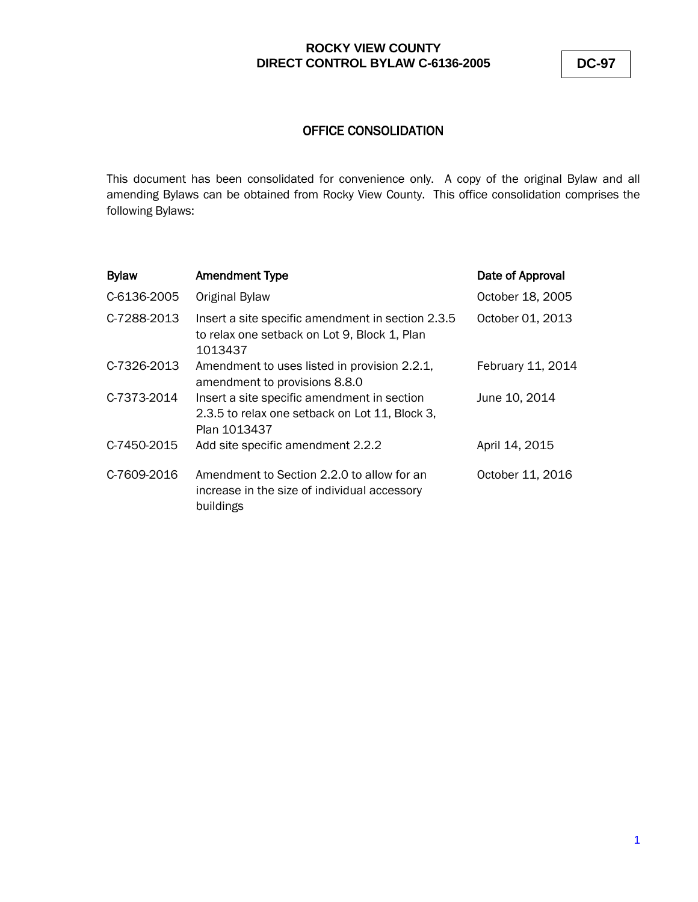**DC-97**

## OFFICE CONSOLIDATION

This document has been consolidated for convenience only. A copy of the original Bylaw and all amending Bylaws can be obtained from Rocky View County. This office consolidation comprises the following Bylaws:

| C-6136-2005<br>Original Bylaw<br>C-7288-2013<br>Insert a site specific amendment in section 2.3.5<br>to relax one setback on Lot 9, Block 1, Plan<br>1013437<br>C-7326-2013<br>Amendment to uses listed in provision 2.2.1,<br>amendment to provisions 8.8.0<br>C-7373-2014<br>June 10, 2014<br>Insert a site specific amendment in section<br>2.3.5 to relax one setback on Lot 11, Block 3,<br>Plan 1013437<br>C-7450-2015<br>April 14, 2015<br>Add site specific amendment 2.2.2<br>C-7609-2016<br>Amendment to Section 2.2.0 to allow for an<br>increase in the size of individual accessory<br>buildings | <b>Bylaw</b> | <b>Amendment Type</b> | Date of Approval  |
|---------------------------------------------------------------------------------------------------------------------------------------------------------------------------------------------------------------------------------------------------------------------------------------------------------------------------------------------------------------------------------------------------------------------------------------------------------------------------------------------------------------------------------------------------------------------------------------------------------------|--------------|-----------------------|-------------------|
|                                                                                                                                                                                                                                                                                                                                                                                                                                                                                                                                                                                                               |              |                       | October 18, 2005  |
|                                                                                                                                                                                                                                                                                                                                                                                                                                                                                                                                                                                                               |              |                       | October 01, 2013  |
|                                                                                                                                                                                                                                                                                                                                                                                                                                                                                                                                                                                                               |              |                       | February 11, 2014 |
|                                                                                                                                                                                                                                                                                                                                                                                                                                                                                                                                                                                                               |              |                       |                   |
|                                                                                                                                                                                                                                                                                                                                                                                                                                                                                                                                                                                                               |              |                       |                   |
|                                                                                                                                                                                                                                                                                                                                                                                                                                                                                                                                                                                                               |              |                       | October 11, 2016  |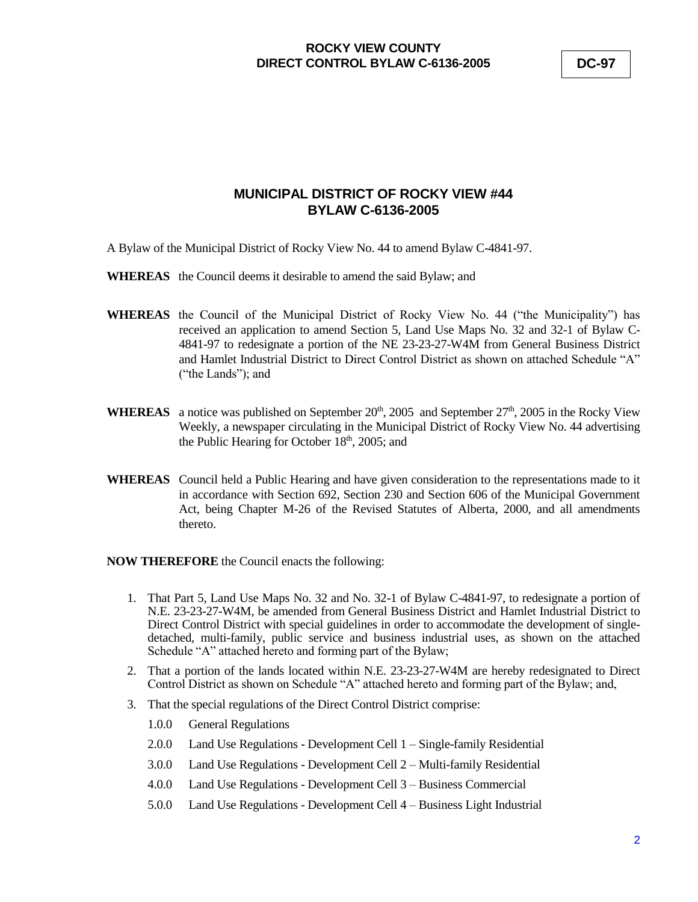**DC-97**

# **MUNICIPAL DISTRICT OF ROCKY VIEW #44 BYLAW C-6136-2005**

- A Bylaw of the Municipal District of Rocky View No. 44 to amend Bylaw C-4841-97.
- **WHEREAS** the Council deems it desirable to amend the said Bylaw; and
- **WHEREAS** the Council of the Municipal District of Rocky View No. 44 ("the Municipality") has received an application to amend Section 5, Land Use Maps No. 32 and 32-1 of Bylaw C-4841-97 to redesignate a portion of the NE 23-23-27-W4M from General Business District and Hamlet Industrial District to Direct Control District as shown on attached Schedule "A" ("the Lands"); and
- **WHEREAS** a notice was published on September  $20<sup>th</sup>$ ,  $2005$  and September  $27<sup>th</sup>$ ,  $2005$  in the Rocky View Weekly, a newspaper circulating in the Municipal District of Rocky View No. 44 advertising the Public Hearing for October 18<sup>th</sup>, 2005; and
- **WHEREAS** Council held a Public Hearing and have given consideration to the representations made to it in accordance with Section 692, Section 230 and Section 606 of the Municipal Government Act, being Chapter M-26 of the Revised Statutes of Alberta, 2000, and all amendments thereto.

**NOW THEREFORE** the Council enacts the following:

- 1. That Part 5, Land Use Maps No. 32 and No. 32-1 of Bylaw C-4841-97, to redesignate a portion of N.E. 23-23-27-W4M, be amended from General Business District and Hamlet Industrial District to Direct Control District with special guidelines in order to accommodate the development of singledetached, multi-family, public service and business industrial uses, as shown on the attached Schedule "A" attached hereto and forming part of the Bylaw;
- 2. That a portion of the lands located within N.E. 23-23-27-W4M are hereby redesignated to Direct Control District as shown on Schedule "A" attached hereto and forming part of the Bylaw; and,
- 3. That the special regulations of the Direct Control District comprise:
	- 1.0.0 General Regulations
	- 2.0.0 Land Use Regulations Development Cell 1 Single-family Residential
	- 3.0.0 Land Use Regulations Development Cell 2 Multi-family Residential
	- 4.0.0 Land Use Regulations Development Cell 3 Business Commercial
	- 5.0.0 Land Use Regulations Development Cell 4 Business Light Industrial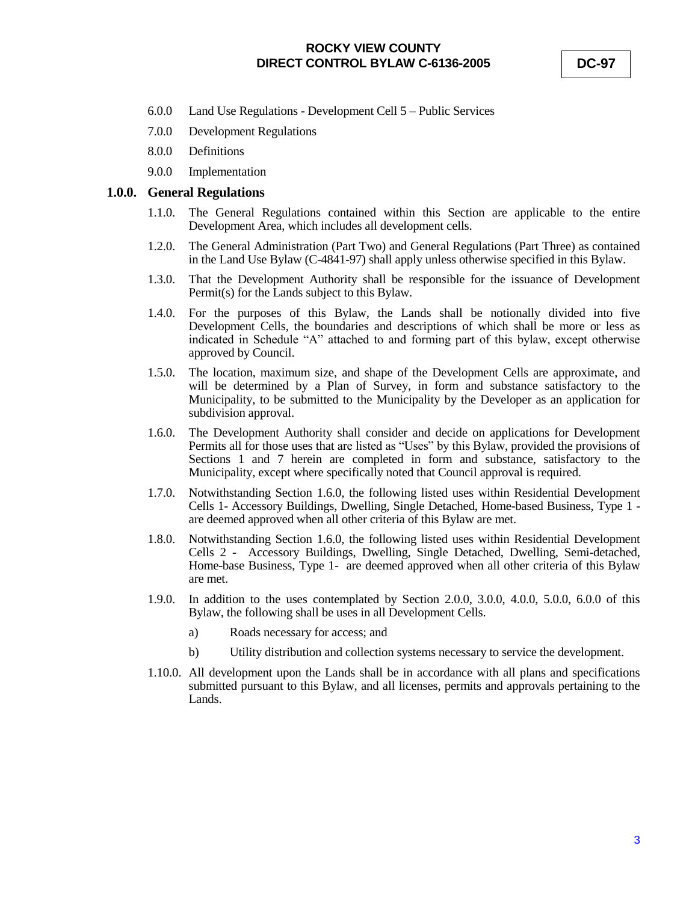- 6.0.0 Land Use Regulations Development Cell 5 Public Services
- 7.0.0 Development Regulations
- 8.0.0 Definitions
- 9.0.0 Implementation

#### **1.0.0. General Regulations**

- 1.1.0. The General Regulations contained within this Section are applicable to the entire Development Area, which includes all development cells.
- 1.2.0. The General Administration (Part Two) and General Regulations (Part Three) as contained in the Land Use Bylaw (C-4841-97) shall apply unless otherwise specified in this Bylaw.
- 1.3.0. That the Development Authority shall be responsible for the issuance of Development Permit(s) for the Lands subject to this Bylaw.
- 1.4.0. For the purposes of this Bylaw, the Lands shall be notionally divided into five Development Cells, the boundaries and descriptions of which shall be more or less as indicated in Schedule "A" attached to and forming part of this bylaw, except otherwise approved by Council.
- 1.5.0. The location, maximum size, and shape of the Development Cells are approximate, and will be determined by a Plan of Survey, in form and substance satisfactory to the Municipality, to be submitted to the Municipality by the Developer as an application for subdivision approval.
- 1.6.0. The Development Authority shall consider and decide on applications for Development Permits all for those uses that are listed as "Uses" by this Bylaw, provided the provisions of Sections 1 and 7 herein are completed in form and substance, satisfactory to the Municipality, except where specifically noted that Council approval is required.
- 1.7.0. Notwithstanding Section 1.6.0, the following listed uses within Residential Development Cells 1- Accessory Buildings, Dwelling, Single Detached, Home-based Business, Type 1 are deemed approved when all other criteria of this Bylaw are met.
- 1.8.0. Notwithstanding Section 1.6.0, the following listed uses within Residential Development Cells 2 - Accessory Buildings, Dwelling, Single Detached, Dwelling, Semi-detached, Home-base Business, Type 1- are deemed approved when all other criteria of this Bylaw are met.
- 1.9.0. In addition to the uses contemplated by Section 2.0.0, 3.0.0, 4.0.0, 5.0.0, 6.0.0 of this Bylaw, the following shall be uses in all Development Cells.
	- a) Roads necessary for access; and
	- b) Utility distribution and collection systems necessary to service the development.
- 1.10.0. All development upon the Lands shall be in accordance with all plans and specifications submitted pursuant to this Bylaw, and all licenses, permits and approvals pertaining to the Lands.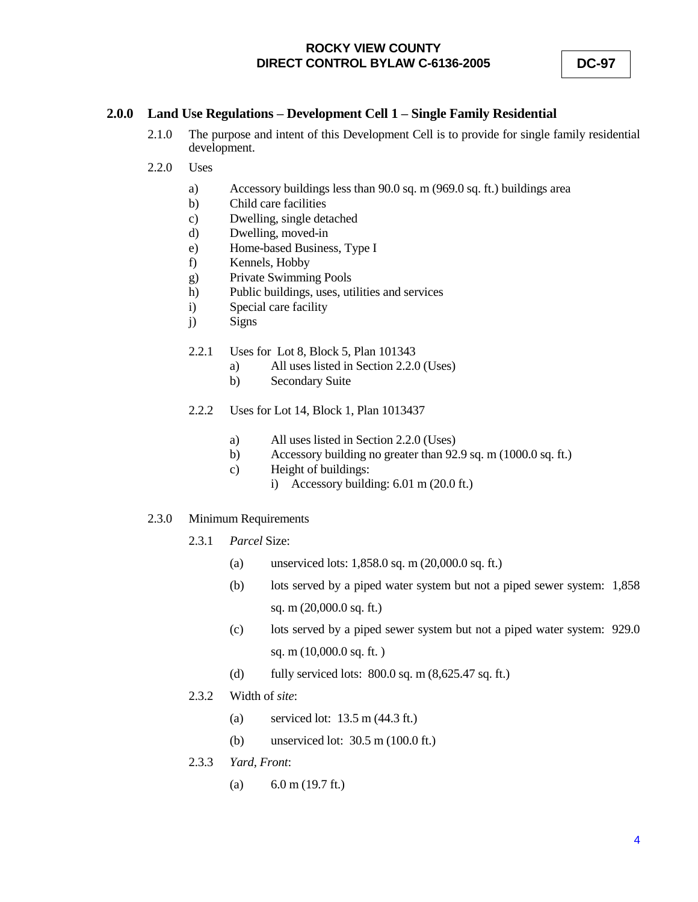### **2.0.0 Land Use Regulations – Development Cell 1 – Single Family Residential**

- 2.1.0 The purpose and intent of this Development Cell is to provide for single family residential development.
- 2.2.0 Uses
	- a) Accessory buildings less than 90.0 sq. m (969.0 sq. ft.) buildings area
	- b) Child care facilities
	- c) Dwelling, single detached
	- d) Dwelling, moved-in
	- e) Home-based Business, Type I
	- f) Kennels, Hobby
	- g) Private Swimming Pools
	- h) Public buildings, uses, utilities and services
	- i) Special care facility
	- j) Signs
	- 2.2.1 Uses for Lot 8, Block 5, Plan 101343
		- a) All uses listed in Section 2.2.0 (Uses)
		- b) Secondary Suite
	- 2.2.2 Uses for Lot 14, Block 1, Plan 1013437
		- a) All uses listed in Section 2.2.0 (Uses)
		- b) Accessory building no greater than 92.9 sq. m (1000.0 sq. ft.)
		- c) Height of buildings:
			- i) Accessory building: 6.01 m (20.0 ft.)
- 2.3.0 Minimum Requirements
	- 2.3.1 *Parcel* Size:
		- (a) unserviced lots: 1,858.0 sq. m (20,000.0 sq. ft.)
		- (b) lots served by a piped water system but not a piped sewer system: 1,858 sq. m (20,000.0 sq. ft.)
		- (c) lots served by a piped sewer system but not a piped water system: 929.0 sq. m (10,000.0 sq. ft. )
		- (d) fully serviced lots:  $800.0$  sq. m  $(8,625.47 \text{ sq. ft.})$
	- 2.3.2 Width of *site*:
		- (a) serviced lot: 13.5 m (44.3 ft.)
		- (b) unserviced lot: 30.5 m (100.0 ft.)
	- 2.3.3 *Yard, Front*:
		- (a)  $6.0 \text{ m} (19.7 \text{ ft.})$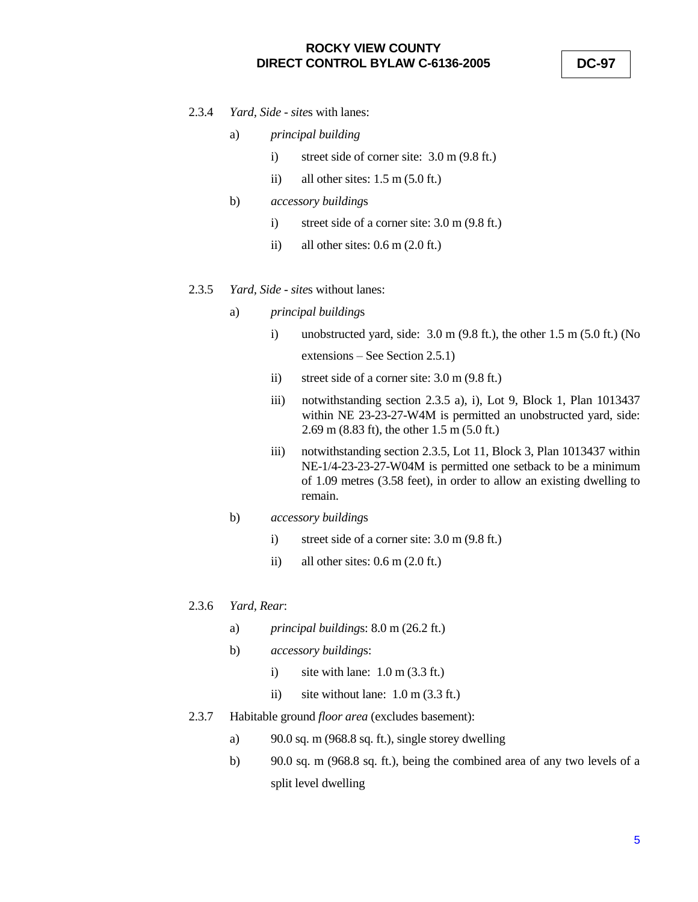**DC-97**

2.3.4 *Yard, Side* - *site*s with lanes:

#### a) *principal building*

- i) street side of corner site: 3.0 m (9.8 ft.)
- ii) all other sites:  $1.5 \text{ m}$  (5.0 ft.)
- b) *accessory building*s
	- i) street side of a corner site: 3.0 m (9.8 ft.)
	- ii) all other sites:  $0.6$  m  $(2.0$  ft.)

### 2.3.5 *Yard, Side* - *site*s without lanes:

- a) *principal building*s
	- i) unobstructed yard, side: 3.0 m (9.8 ft.), the other 1.5 m (5.0 ft.) (No extensions – See Section 2.5.1)
	- ii) street side of a corner site: 3.0 m (9.8 ft.)
	- iii) notwithstanding section 2.3.5 a), i), Lot 9, Block 1, Plan 1013437 within NE 23-23-27-W4M is permitted an unobstructed yard, side: 2.69 m (8.83 ft), the other 1.5 m (5.0 ft.)
	- iii) notwithstanding section 2.3.5, Lot 11, Block 3, Plan 1013437 within NE-1/4-23-23-27-W04M is permitted one setback to be a minimum of 1.09 metres (3.58 feet), in order to allow an existing dwelling to remain.
- b) *accessory building*s
	- i) street side of a corner site: 3.0 m (9.8 ft.)
	- ii) all other sites:  $0.6$  m  $(2.0 \text{ ft.})$
- 2.3.6 *Yard, Rear*:
	- a) *principal building*s: 8.0 m (26.2 ft.)
	- b) *accessory building*s:
		- i) site with lane:  $1.0 \text{ m}$  (3.3 ft.)
		- ii) site without lane: 1.0 m (3.3 ft.)
- 2.3.7 Habitable ground *floor area* (excludes basement):
	- a) 90.0 sq. m (968.8 sq. ft.), single storey dwelling
	- b) 90.0 sq. m (968.8 sq. ft.), being the combined area of any two levels of a split level dwelling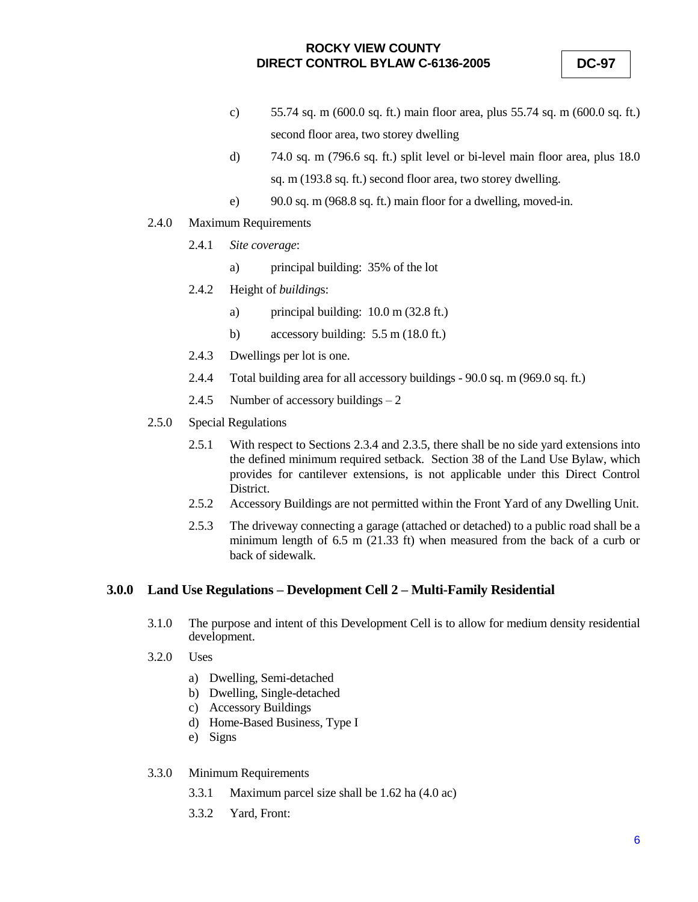- c) 55.74 sq. m (600.0 sq. ft.) main floor area, plus 55.74 sq. m (600.0 sq. ft.) second floor area, two storey dwelling
- d) 74.0 sq. m (796.6 sq. ft.) split level or bi-level main floor area, plus 18.0 sq. m (193.8 sq. ft.) second floor area, two storey dwelling.
- e) 90.0 sq. m (968.8 sq. ft.) main floor for a dwelling, moved-in.
- 2.4.0 Maximum Requirements
	- 2.4.1 *Site coverage*:
		- a) principal building: 35% of the lot
	- 2.4.2 Height of *building*s:
		- a) principal building: 10.0 m (32.8 ft.)
		- b) accessory building: 5.5 m (18.0 ft.)
	- 2.4.3 Dwellings per lot is one.
	- 2.4.4 Total building area for all accessory buildings 90.0 sq. m (969.0 sq. ft.)
	- 2.4.5 Number of accessory buildings 2
- 2.5.0 Special Regulations
	- 2.5.1 With respect to Sections 2.3.4 and 2.3.5, there shall be no side yard extensions into the defined minimum required setback. Section 38 of the Land Use Bylaw, which provides for cantilever extensions, is not applicable under this Direct Control District.
	- 2.5.2 Accessory Buildings are not permitted within the Front Yard of any Dwelling Unit.
	- 2.5.3 The driveway connecting a garage (attached or detached) to a public road shall be a minimum length of 6.5 m (21.33 ft) when measured from the back of a curb or back of sidewalk.

### **3.0.0 Land Use Regulations – Development Cell 2 – Multi-Family Residential**

- 3.1.0 The purpose and intent of this Development Cell is to allow for medium density residential development.
- 3.2.0 Uses
	- a) Dwelling, Semi-detached
	- b) Dwelling, Single-detached
	- c) Accessory Buildings
	- d) Home-Based Business, Type I
	- e) Signs
- 3.3.0 Minimum Requirements
	- 3.3.1 Maximum parcel size shall be 1.62 ha (4.0 ac)
	- 3.3.2 Yard, Front: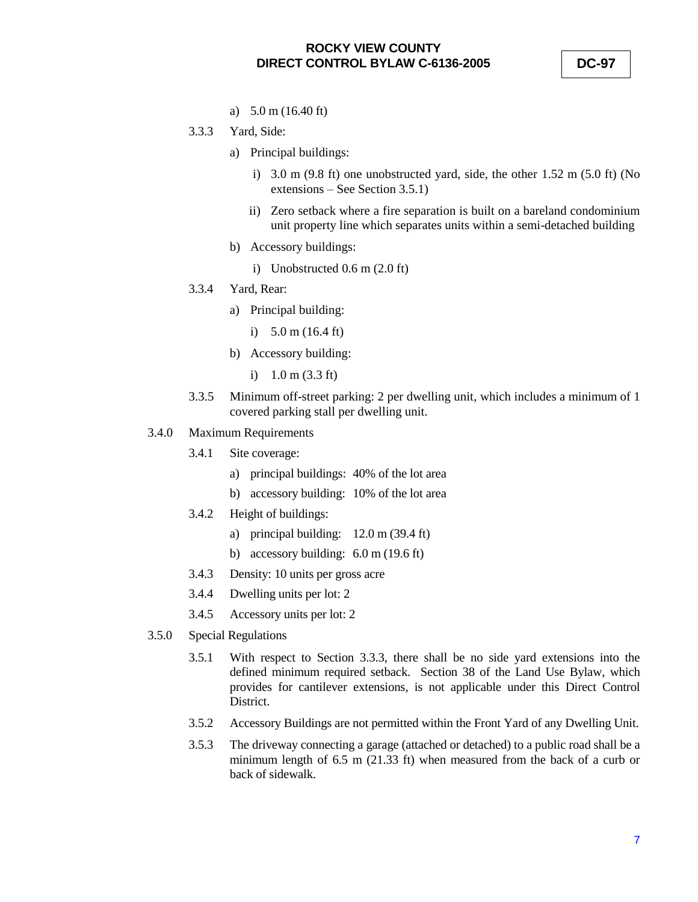- a) 5.0 m (16.40 ft)
- 3.3.3 Yard, Side:
	- a) Principal buildings:
		- i) 3.0 m (9.8 ft) one unobstructed yard, side, the other 1.52 m (5.0 ft) (No extensions – See Section 3.5.1)
		- ii) Zero setback where a fire separation is built on a bareland condominium unit property line which separates units within a semi-detached building
	- b) Accessory buildings:
		- i) Unobstructed 0.6 m (2.0 ft)
- 3.3.4 Yard, Rear:
	- a) Principal building:
		- i) 5.0 m (16.4 ft)
	- b) Accessory building:
		- i) 1.0 m (3.3 ft)
- 3.3.5 Minimum off-street parking: 2 per dwelling unit, which includes a minimum of 1 covered parking stall per dwelling unit.
- 3.4.0 Maximum Requirements
	- 3.4.1 Site coverage:
		- a) principal buildings: 40% of the lot area
		- b) accessory building: 10% of the lot area
	- 3.4.2 Height of buildings:
		- a) principal building: 12.0 m (39.4 ft)
		- b) accessory building: 6.0 m (19.6 ft)
	- 3.4.3 Density: 10 units per gross acre
	- 3.4.4 Dwelling units per lot: 2
	- 3.4.5 Accessory units per lot: 2
- 3.5.0 Special Regulations
	- 3.5.1 With respect to Section 3.3.3, there shall be no side yard extensions into the defined minimum required setback. Section 38 of the Land Use Bylaw, which provides for cantilever extensions, is not applicable under this Direct Control District.
	- 3.5.2 Accessory Buildings are not permitted within the Front Yard of any Dwelling Unit.
	- 3.5.3 The driveway connecting a garage (attached or detached) to a public road shall be a minimum length of 6.5 m (21.33 ft) when measured from the back of a curb or back of sidewalk.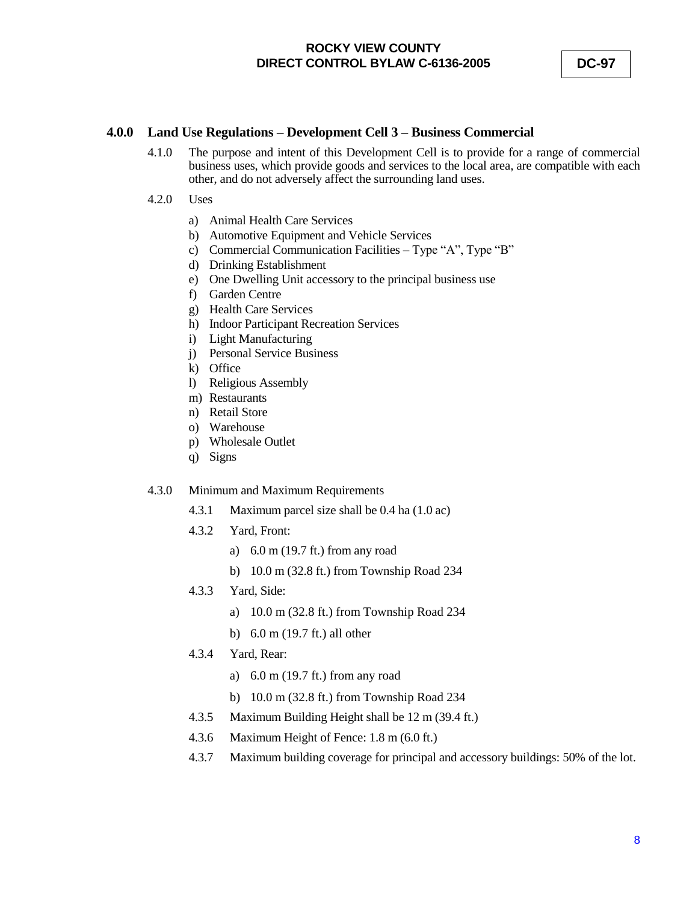### **4.0.0 Land Use Regulations – Development Cell 3 – Business Commercial**

- 4.1.0 The purpose and intent of this Development Cell is to provide for a range of commercial business uses, which provide goods and services to the local area, are compatible with each other, and do not adversely affect the surrounding land uses.
- 4.2.0 Uses
	- a) Animal Health Care Services
	- b) Automotive Equipment and Vehicle Services
	- c) Commercial Communication Facilities Type "A", Type "B"
	- d) Drinking Establishment
	- e) One Dwelling Unit accessory to the principal business use
	- f) Garden Centre
	- g) Health Care Services
	- h) Indoor Participant Recreation Services
	- i) Light Manufacturing
	- j) Personal Service Business
	- k) Office
	- l) Religious Assembly
	- m) Restaurants
	- n) Retail Store
	- o) Warehouse
	- p) Wholesale Outlet
	- q) Signs

#### 4.3.0 Minimum and Maximum Requirements

- 4.3.1 Maximum parcel size shall be 0.4 ha (1.0 ac)
- 4.3.2 Yard, Front:
	- a) 6.0 m (19.7 ft.) from any road
	- b) 10.0 m (32.8 ft.) from Township Road 234
- 4.3.3 Yard, Side:
	- a) 10.0 m (32.8 ft.) from Township Road 234
	- b) 6.0 m (19.7 ft.) all other
- 4.3.4 Yard, Rear:
	- a) 6.0 m (19.7 ft.) from any road
	- b) 10.0 m (32.8 ft.) from Township Road 234
- 4.3.5 Maximum Building Height shall be 12 m (39.4 ft.)
- 4.3.6 Maximum Height of Fence: 1.8 m (6.0 ft.)
- 4.3.7 Maximum building coverage for principal and accessory buildings: 50% of the lot.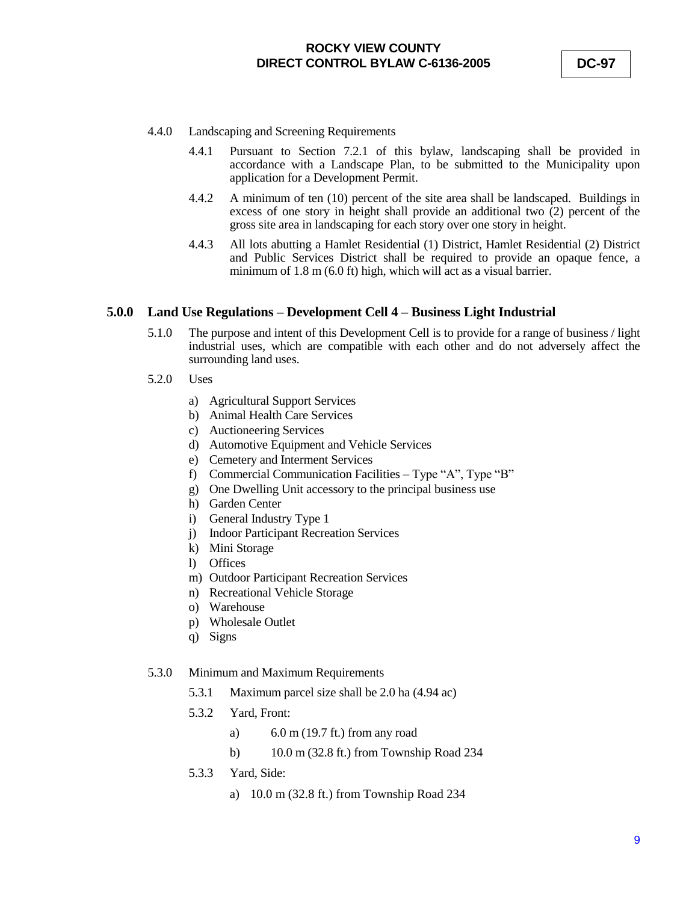- 4.4.0 Landscaping and Screening Requirements
	- 4.4.1 Pursuant to Section 7.2.1 of this bylaw, landscaping shall be provided in accordance with a Landscape Plan, to be submitted to the Municipality upon application for a Development Permit.
	- 4.4.2 A minimum of ten (10) percent of the site area shall be landscaped. Buildings in excess of one story in height shall provide an additional two (2) percent of the gross site area in landscaping for each story over one story in height.
	- 4.4.3 All lots abutting a Hamlet Residential (1) District, Hamlet Residential (2) District and Public Services District shall be required to provide an opaque fence, a minimum of 1.8 m (6.0 ft) high, which will act as a visual barrier.

#### **5.0.0 Land Use Regulations – Development Cell 4 – Business Light Industrial**

- 5.1.0 The purpose and intent of this Development Cell is to provide for a range of business / light industrial uses, which are compatible with each other and do not adversely affect the surrounding land uses.
- 5.2.0 Uses
	- a) Agricultural Support Services
	- b) Animal Health Care Services
	- c) Auctioneering Services
	- d) Automotive Equipment and Vehicle Services
	- e) Cemetery and Interment Services
	- f) Commercial Communication Facilities Type "A", Type "B"
	- g) One Dwelling Unit accessory to the principal business use
	- h) Garden Center
	- i) General Industry Type 1
	- j) Indoor Participant Recreation Services
	- k) Mini Storage
	- l) Offices
	- m) Outdoor Participant Recreation Services
	- n) Recreational Vehicle Storage
	- o) Warehouse
	- p) Wholesale Outlet
	- q) Signs

#### 5.3.0 Minimum and Maximum Requirements

- 5.3.1 Maximum parcel size shall be 2.0 ha (4.94 ac)
- 5.3.2 Yard, Front:
	- a) 6.0 m (19.7 ft.) from any road
	- b) 10.0 m (32.8 ft.) from Township Road 234
- 5.3.3 Yard, Side:
	- a) 10.0 m (32.8 ft.) from Township Road 234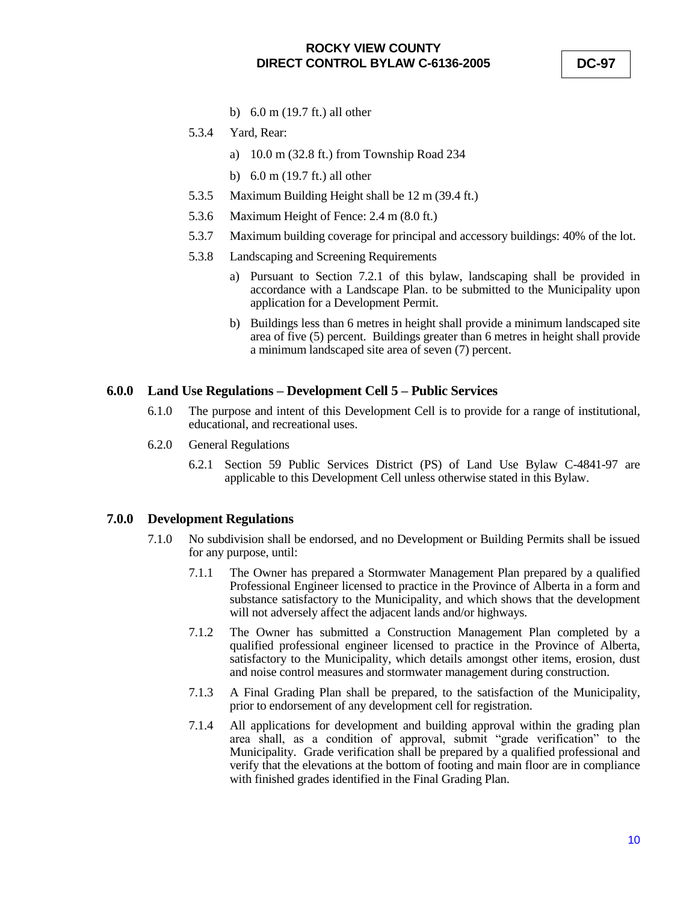**DC-97**

- b) 6.0 m (19.7 ft.) all other
- 5.3.4 Yard, Rear:
	- a) 10.0 m (32.8 ft.) from Township Road 234
	- b) 6.0 m (19.7 ft.) all other
- 5.3.5 Maximum Building Height shall be 12 m (39.4 ft.)
- 5.3.6 Maximum Height of Fence: 2.4 m (8.0 ft.)
- 5.3.7 Maximum building coverage for principal and accessory buildings: 40% of the lot.
- 5.3.8 Landscaping and Screening Requirements
	- a) Pursuant to Section 7.2.1 of this bylaw, landscaping shall be provided in accordance with a Landscape Plan. to be submitted to the Municipality upon application for a Development Permit.
	- b) Buildings less than 6 metres in height shall provide a minimum landscaped site area of five (5) percent. Buildings greater than 6 metres in height shall provide a minimum landscaped site area of seven (7) percent.

#### **6.0.0 Land Use Regulations – Development Cell 5 – Public Services**

- 6.1.0 The purpose and intent of this Development Cell is to provide for a range of institutional, educational, and recreational uses.
- 6.2.0 General Regulations
	- 6.2.1 Section 59 Public Services District (PS) of Land Use Bylaw C-4841-97 are applicable to this Development Cell unless otherwise stated in this Bylaw.

### **7.0.0 Development Regulations**

- 7.1.0 No subdivision shall be endorsed, and no Development or Building Permits shall be issued for any purpose, until:
	- 7.1.1 The Owner has prepared a Stormwater Management Plan prepared by a qualified Professional Engineer licensed to practice in the Province of Alberta in a form and substance satisfactory to the Municipality, and which shows that the development will not adversely affect the adjacent lands and/or highways.
	- 7.1.2 The Owner has submitted a Construction Management Plan completed by a qualified professional engineer licensed to practice in the Province of Alberta, satisfactory to the Municipality, which details amongst other items, erosion, dust and noise control measures and stormwater management during construction.
	- 7.1.3 A Final Grading Plan shall be prepared, to the satisfaction of the Municipality, prior to endorsement of any development cell for registration.
	- 7.1.4 All applications for development and building approval within the grading plan area shall, as a condition of approval, submit "grade verification" to the Municipality. Grade verification shall be prepared by a qualified professional and verify that the elevations at the bottom of footing and main floor are in compliance with finished grades identified in the Final Grading Plan.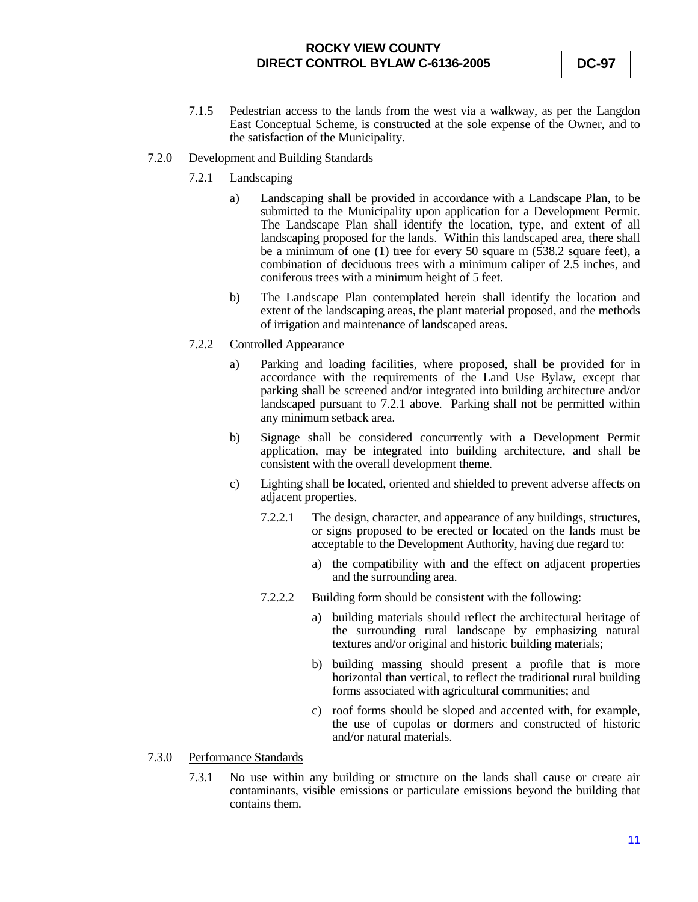7.1.5 Pedestrian access to the lands from the west via a walkway, as per the Langdon East Conceptual Scheme, is constructed at the sole expense of the Owner, and to the satisfaction of the Municipality.

#### 7.2.0 Development and Building Standards

- 7.2.1 Landscaping
	- a) Landscaping shall be provided in accordance with a Landscape Plan, to be submitted to the Municipality upon application for a Development Permit. The Landscape Plan shall identify the location, type, and extent of all landscaping proposed for the lands. Within this landscaped area, there shall be a minimum of one (1) tree for every 50 square m (538.2 square feet), a combination of deciduous trees with a minimum caliper of 2.5 inches, and coniferous trees with a minimum height of 5 feet.
	- b) The Landscape Plan contemplated herein shall identify the location and extent of the landscaping areas, the plant material proposed, and the methods of irrigation and maintenance of landscaped areas.
- 7.2.2 Controlled Appearance
	- a) Parking and loading facilities, where proposed, shall be provided for in accordance with the requirements of the Land Use Bylaw, except that parking shall be screened and/or integrated into building architecture and/or landscaped pursuant to 7.2.1 above. Parking shall not be permitted within any minimum setback area.
	- b) Signage shall be considered concurrently with a Development Permit application, may be integrated into building architecture, and shall be consistent with the overall development theme.
	- c) Lighting shall be located, oriented and shielded to prevent adverse affects on adjacent properties.
		- 7.2.2.1 The design, character, and appearance of any buildings, structures, or signs proposed to be erected or located on the lands must be acceptable to the Development Authority, having due regard to:
			- a) the compatibility with and the effect on adjacent properties and the surrounding area.
		- 7.2.2.2 Building form should be consistent with the following:
			- a) building materials should reflect the architectural heritage of the surrounding rural landscape by emphasizing natural textures and/or original and historic building materials;
			- b) building massing should present a profile that is more horizontal than vertical, to reflect the traditional rural building forms associated with agricultural communities; and
			- c) roof forms should be sloped and accented with, for example, the use of cupolas or dormers and constructed of historic and/or natural materials.
- 7.3.0 Performance Standards
	- 7.3.1 No use within any building or structure on the lands shall cause or create air contaminants, visible emissions or particulate emissions beyond the building that contains them.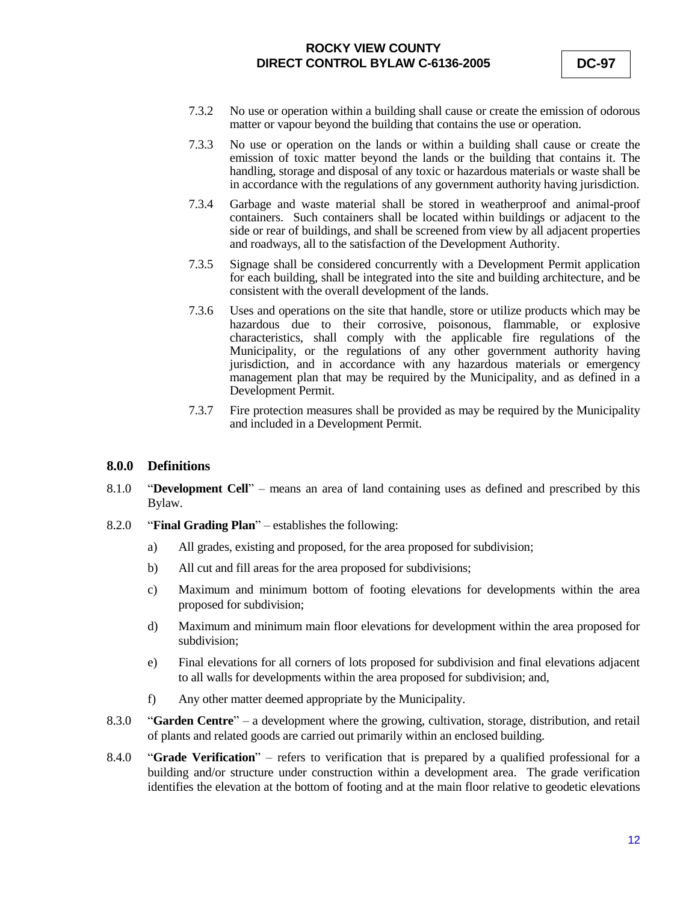- 7.3.2 No use or operation within a building shall cause or create the emission of odorous matter or vapour beyond the building that contains the use or operation.
- 7.3.3 No use or operation on the lands or within a building shall cause or create the emission of toxic matter beyond the lands or the building that contains it. The handling, storage and disposal of any toxic or hazardous materials or waste shall be in accordance with the regulations of any government authority having jurisdiction.
- 7.3.4 Garbage and waste material shall be stored in weatherproof and animal-proof containers. Such containers shall be located within buildings or adjacent to the side or rear of buildings, and shall be screened from view by all adjacent properties and roadways, all to the satisfaction of the Development Authority.
- 7.3.5 Signage shall be considered concurrently with a Development Permit application for each building, shall be integrated into the site and building architecture, and be consistent with the overall development of the lands.
- 7.3.6 Uses and operations on the site that handle, store or utilize products which may be hazardous due to their corrosive, poisonous, flammable, or explosive characteristics, shall comply with the applicable fire regulations of the Municipality, or the regulations of any other government authority having jurisdiction, and in accordance with any hazardous materials or emergency management plan that may be required by the Municipality, and as defined in a Development Permit.
- 7.3.7 Fire protection measures shall be provided as may be required by the Municipality and included in a Development Permit.

### **8.0.0 Definitions**

- 8.1.0 "**Development Cell**" means an area of land containing uses as defined and prescribed by this Bylaw.
- 8.2.0 "**Final Grading Plan**" establishes the following:
	- a) All grades, existing and proposed, for the area proposed for subdivision;
	- b) All cut and fill areas for the area proposed for subdivisions;
	- c) Maximum and minimum bottom of footing elevations for developments within the area proposed for subdivision;
	- d) Maximum and minimum main floor elevations for development within the area proposed for subdivision;
	- e) Final elevations for all corners of lots proposed for subdivision and final elevations adjacent to all walls for developments within the area proposed for subdivision; and,
	- f) Any other matter deemed appropriate by the Municipality.
- 8.3.0 "**Garden Centre**" a development where the growing, cultivation, storage, distribution, and retail of plants and related goods are carried out primarily within an enclosed building.
- 8.4.0 "**Grade Verification**" refers to verification that is prepared by a qualified professional for a building and/or structure under construction within a development area. The grade verification identifies the elevation at the bottom of footing and at the main floor relative to geodetic elevations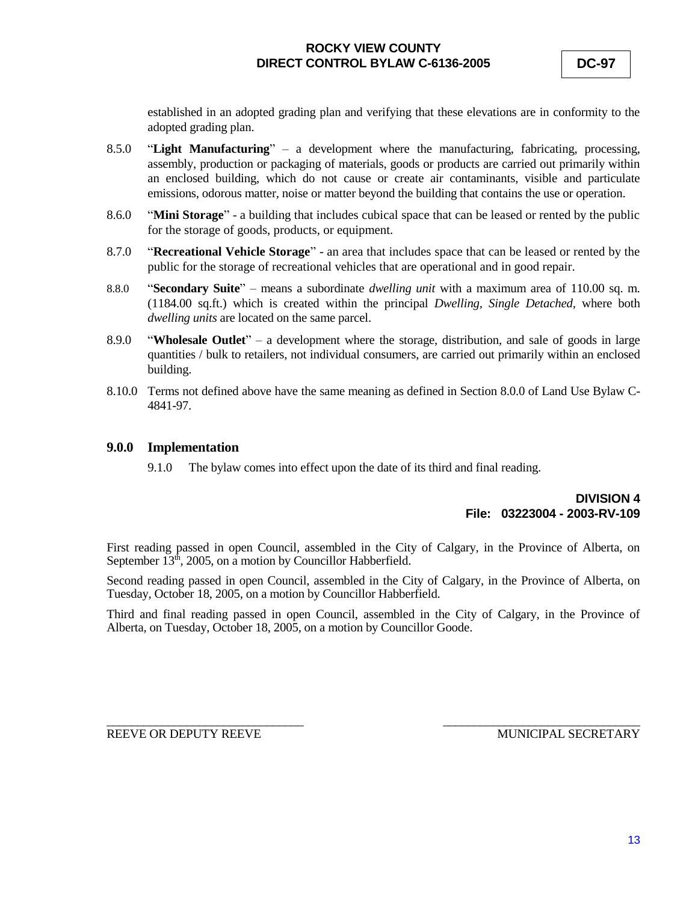established in an adopted grading plan and verifying that these elevations are in conformity to the adopted grading plan.

- 8.5.0 "**Light Manufacturing**" a development where the manufacturing, fabricating, processing, assembly, production or packaging of materials, goods or products are carried out primarily within an enclosed building, which do not cause or create air contaminants, visible and particulate emissions, odorous matter, noise or matter beyond the building that contains the use or operation.
- 8.6.0 "**Mini Storage**" a building that includes cubical space that can be leased or rented by the public for the storage of goods, products, or equipment.
- 8.7.0 "**Recreational Vehicle Storage**" an area that includes space that can be leased or rented by the public for the storage of recreational vehicles that are operational and in good repair.
- 8.8.0 "**Secondary Suite**" *–* means a subordinate *dwelling unit* with a maximum area of 110.00 sq. m. (1184.00 sq.ft.) which is created within the principal *Dwelling, Single Detached,* where both *dwelling units* are located on the same parcel.
- 8.9.0 "**Wholesale Outlet**" a development where the storage, distribution, and sale of goods in large quantities / bulk to retailers, not individual consumers, are carried out primarily within an enclosed building.
- 8.10.0 Terms not defined above have the same meaning as defined in Section 8.0.0 of Land Use Bylaw C-4841-97.

### **9.0.0 Implementation**

9.1.0 The bylaw comes into effect upon the date of its third and final reading.

## **DIVISION 4 File: 03223004 - 2003-RV-109**

First reading passed in open Council, assembled in the City of Calgary, in the Province of Alberta, on September  $13<sup>th</sup>$ , 2005, on a motion by Councillor Habberfield.

Second reading passed in open Council, assembled in the City of Calgary, in the Province of Alberta, on Tuesday, October 18, 2005, on a motion by Councillor Habberfield.

Third and final reading passed in open Council, assembled in the City of Calgary, in the Province of Alberta, on Tuesday, October 18, 2005, on a motion by Councillor Goode.

\_\_\_\_\_\_\_\_\_\_\_\_\_\_\_\_\_\_\_\_\_\_\_\_\_\_\_\_\_\_\_\_ \_\_\_\_\_\_\_\_\_\_\_\_\_\_\_\_\_\_\_\_\_\_\_\_\_\_\_\_\_\_\_\_ REEVE OR DEPUTY REEVE MUNICIPAL SECRETARY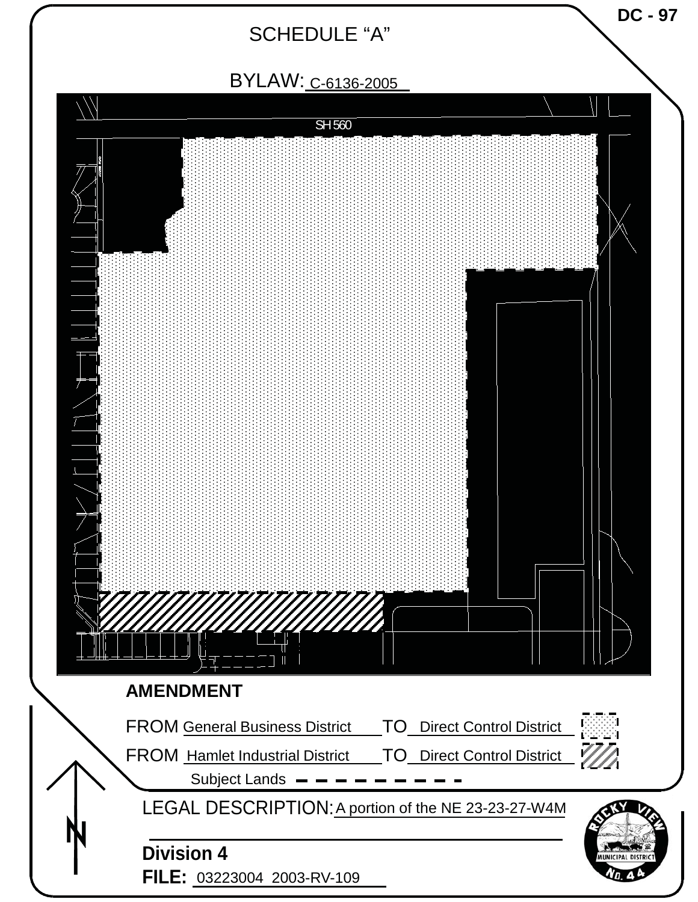